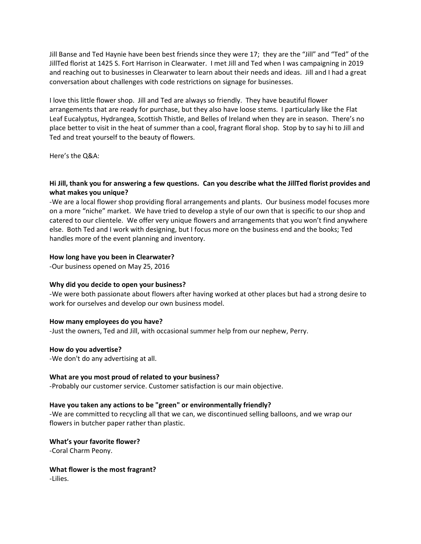Jill Banse and Ted Haynie have been best friends since they were 17; they are the "Jill" and "Ted" of the JillTed florist at 1425 S. Fort Harrison in Clearwater. I met Jill and Ted when I was campaigning in 2019 and reaching out to businesses in Clearwater to learn about their needs and ideas. Jill and I had a great conversation about challenges with code restrictions on signage for businesses.

I love this little flower shop. Jill and Ted are always so friendly. They have beautiful flower arrangements that are ready for purchase, but they also have loose stems. I particularly like the Flat Leaf Eucalyptus, Hydrangea, Scottish Thistle, and Belles of Ireland when they are in season. There's no place better to visit in the heat of summer than a cool, fragrant floral shop. Stop by to say hi to Jill and Ted and treat yourself to the beauty of flowers.

Here's the Q&A:

## **Hi Jill, thank you for answering a few questions. Can you describe what the JillTed florist provides and what makes you unique?**

-We are a local flower shop providing floral arrangements and plants. Our business model focuses more on a more "niche" market. We have tried to develop a style of our own that is specific to our shop and catered to our clientele. We offer very unique flowers and arrangements that you won't find anywhere else. Both Ted and I work with designing, but I focus more on the business end and the books; Ted handles more of the event planning and inventory.

#### **How long have you been in Clearwater?**

-Our business opened on May 25, 2016

### **Why did you decide to open your business?**

-We were both passionate about flowers after having worked at other places but had a strong desire to work for ourselves and develop our own business model.

#### **How many employees do you have?**

-Just the owners, Ted and Jill, with occasional summer help from our nephew, Perry.

#### **How do you advertise?**

-We don't do any advertising at all.

#### **What are you most proud of related to your business?**

-Probably our customer service. Customer satisfaction is our main objective.

#### **Have you taken any actions to be "green" or environmentally friendly?**

-We are committed to recycling all that we can, we discontinued selling balloons, and we wrap our flowers in butcher paper rather than plastic.

**What's your favorite flower?**  -Coral Charm Peony.

**What flower is the most fragrant?**  -Lilies.